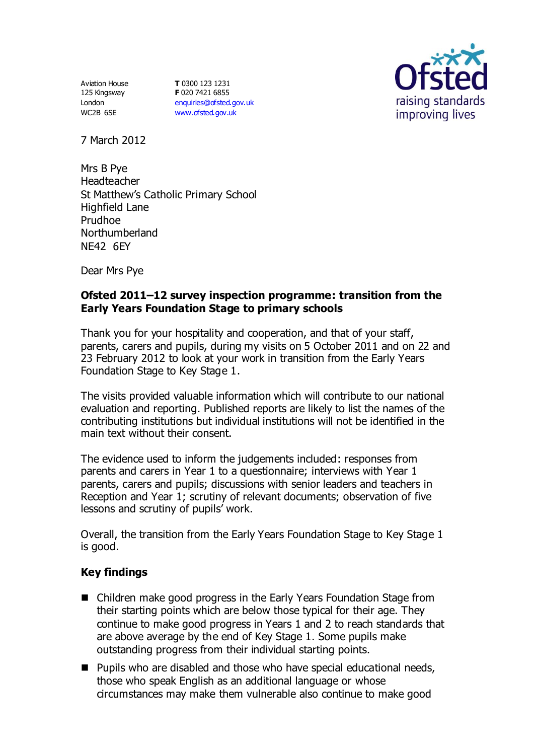Aviation House 125 Kingsway London WC2B 6SE

**T** 0300 123 1231 **F** 020 7421 6855 [enquiries@ofsted.gov.uk](mailto:enquiries@ofsted.gov.uk) [www.ofsted.gov.uk](http://www.ofsted.gov.uk/)



7 March 2012

Mrs B Pye Headteacher St Matthew's Catholic Primary School Highfield Lane Prudhoe Northumberland NE42 6EY

Dear Mrs Pye

## **Ofsted 2011–12 survey inspection programme: transition from the Early Years Foundation Stage to primary schools**

Thank you for your hospitality and cooperation, and that of your staff, parents, carers and pupils, during my visits on 5 October 2011 and on 22 and 23 February 2012 to look at your work in transition from the Early Years Foundation Stage to Key Stage 1.

The visits provided valuable information which will contribute to our national evaluation and reporting. Published reports are likely to list the names of the contributing institutions but individual institutions will not be identified in the main text without their consent.

The evidence used to inform the judgements included: responses from parents and carers in Year 1 to a questionnaire; interviews with Year 1 parents, carers and pupils; discussions with senior leaders and teachers in Reception and Year 1; scrutiny of relevant documents; observation of five lessons and scrutiny of pupils' work.

Overall, the transition from the Early Years Foundation Stage to Key Stage 1 is good.

## **Key findings**

- Children make good progress in the Early Years Foundation Stage from their starting points which are below those typical for their age. They continue to make good progress in Years 1 and 2 to reach standards that are above average by the end of Key Stage 1. Some pupils make outstanding progress from their individual starting points.
- Pupils who are disabled and those who have special educational needs, those who speak English as an additional language or whose circumstances may make them vulnerable also continue to make good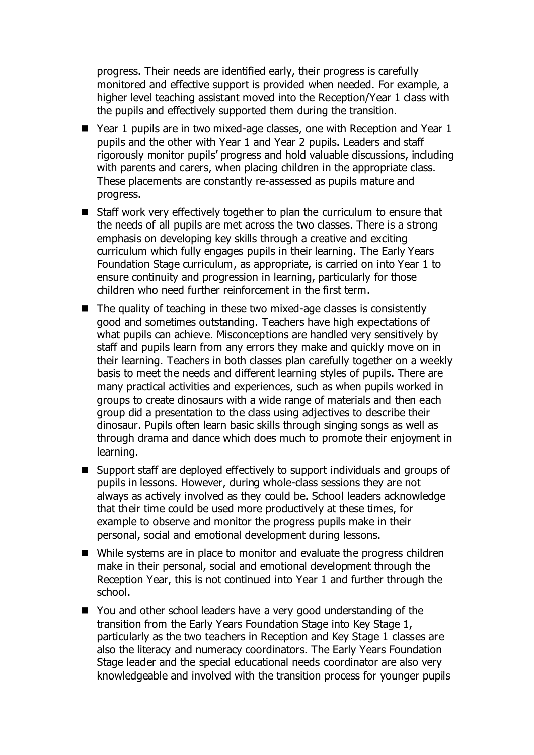progress. Their needs are identified early, their progress is carefully monitored and effective support is provided when needed. For example, a higher level teaching assistant moved into the Reception/Year 1 class with the pupils and effectively supported them during the transition.

- Year 1 pupils are in two mixed-age classes, one with Reception and Year 1 pupils and the other with Year 1 and Year 2 pupils. Leaders and staff rigorously monitor pupils' progress and hold valuable discussions, including with parents and carers, when placing children in the appropriate class. These placements are constantly re-assessed as pupils mature and progress.
- Staff work very effectively together to plan the curriculum to ensure that the needs of all pupils are met across the two classes. There is a strong emphasis on developing key skills through a creative and exciting curriculum which fully engages pupils in their learning. The Early Years Foundation Stage curriculum, as appropriate, is carried on into Year 1 to ensure continuity and progression in learning, particularly for those children who need further reinforcement in the first term.
- $\blacksquare$  The quality of teaching in these two mixed-age classes is consistently good and sometimes outstanding. Teachers have high expectations of what pupils can achieve. Misconceptions are handled very sensitively by staff and pupils learn from any errors they make and quickly move on in their learning. Teachers in both classes plan carefully together on a weekly basis to meet the needs and different learning styles of pupils. There are many practical activities and experiences, such as when pupils worked in groups to create dinosaurs with a wide range of materials and then each group did a presentation to the class using adjectives to describe their dinosaur. Pupils often learn basic skills through singing songs as well as through drama and dance which does much to promote their enjoyment in learning.
- Support staff are deployed effectively to support individuals and groups of pupils in lessons. However, during whole-class sessions they are not always as actively involved as they could be. School leaders acknowledge that their time could be used more productively at these times, for example to observe and monitor the progress pupils make in their personal, social and emotional development during lessons.
- While systems are in place to monitor and evaluate the progress children make in their personal, social and emotional development through the Reception Year, this is not continued into Year 1 and further through the school.
- You and other school leaders have a very good understanding of the transition from the Early Years Foundation Stage into Key Stage 1, particularly as the two teachers in Reception and Key Stage 1 classes are also the literacy and numeracy coordinators. The Early Years Foundation Stage leader and the special educational needs coordinator are also very knowledgeable and involved with the transition process for younger pupils